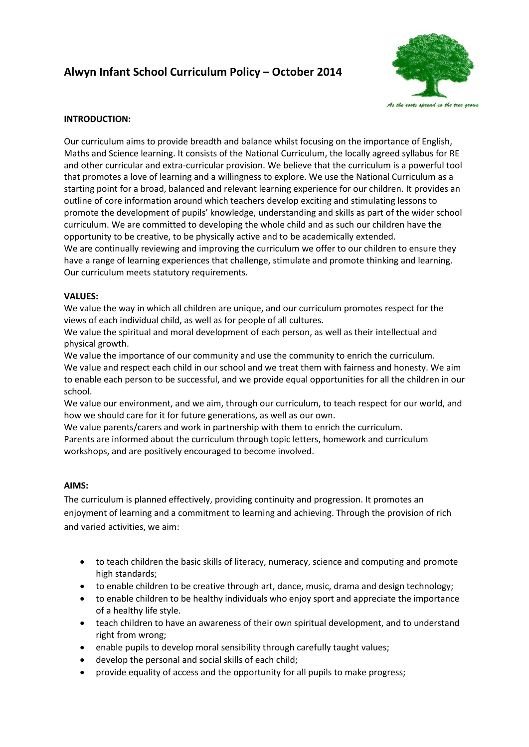# **Alwyn Infant School Curriculum Policy – October 2014**



# **INTRODUCTION:**

Our curriculum aims to provide breadth and balance whilst focusing on the importance of English, Maths and Science learning. It consists of the National Curriculum, the locally agreed syllabus for RE and other curricular and extra-curricular provision. We believe that the curriculum is a powerful tool that promotes a love of learning and a willingness to explore. We use the National Curriculum as a starting point for a broad, balanced and relevant learning experience for our children. It provides an outline of core information around which teachers develop exciting and stimulating lessons to promote the development of pupils' knowledge, understanding and skills as part of the wider school curriculum. We are committed to developing the whole child and as such our children have the opportunity to be creative, to be physically active and to be academically extended. We are continually reviewing and improving the curriculum we offer to our children to ensure they have a range of learning experiences that challenge, stimulate and promote thinking and learning. Our curriculum meets statutory requirements.

# **VALUES:**

We value the way in which all children are unique, and our curriculum promotes respect for the views of each individual child, as well as for people of all cultures.

We value the spiritual and moral development of each person, as well as their intellectual and physical growth.

We value the importance of our community and use the community to enrich the curriculum. We value and respect each child in our school and we treat them with fairness and honesty. We aim to enable each person to be successful, and we provide equal opportunities for all the children in our school.

We value our environment, and we aim, through our curriculum, to teach respect for our world, and how we should care for it for future generations, as well as our own.

We value parents/carers and work in partnership with them to enrich the curriculum.

Parents are informed about the curriculum through topic letters, homework and curriculum workshops, and are positively encouraged to become involved.

## **AIMS:**

The curriculum is planned effectively, providing continuity and progression. It promotes an enjoyment of learning and a commitment to learning and achieving. Through the provision of rich and varied activities, we aim:

- to teach children the basic skills of literacy, numeracy, science and computing and promote high standards;
- to enable children to be creative through art, dance, music, drama and design technology;
- to enable children to be healthy individuals who enjoy sport and appreciate the importance of a healthy life style.
- teach children to have an awareness of their own spiritual development, and to understand right from wrong;
- enable pupils to develop moral sensibility through carefully taught values;
- develop the personal and social skills of each child;
- provide equality of access and the opportunity for all pupils to make progress;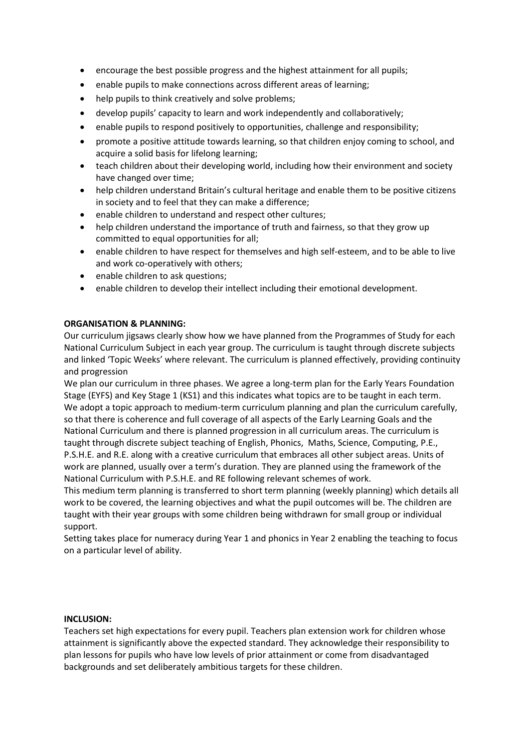- encourage the best possible progress and the highest attainment for all pupils;
- enable pupils to make connections across different areas of learning;
- help pupils to think creatively and solve problems;
- develop pupils' capacity to learn and work independently and collaboratively;
- enable pupils to respond positively to opportunities, challenge and responsibility;
- promote a positive attitude towards learning, so that children enjoy coming to school, and acquire a solid basis for lifelong learning;
- teach children about their developing world, including how their environment and society have changed over time;
- help children understand Britain's cultural heritage and enable them to be positive citizens in society and to feel that they can make a difference;
- enable children to understand and respect other cultures;
- help children understand the importance of truth and fairness, so that they grow up committed to equal opportunities for all;
- enable children to have respect for themselves and high self-esteem, and to be able to live and work co-operatively with others;
- enable children to ask questions;
- enable children to develop their intellect including their emotional development.

## **ORGANISATION & PLANNING:**

Our curriculum jigsaws clearly show how we have planned from the Programmes of Study for each National Curriculum Subject in each year group. The curriculum is taught through discrete subjects and linked 'Topic Weeks' where relevant. The curriculum is planned effectively, providing continuity and progression

We plan our curriculum in three phases. We agree a long-term plan for the Early Years Foundation Stage (EYFS) and Key Stage 1 (KS1) and this indicates what topics are to be taught in each term. We adopt a topic approach to medium-term curriculum planning and plan the curriculum carefully, so that there is coherence and full coverage of all aspects of the Early Learning Goals and the National Curriculum and there is planned progression in all curriculum areas. The curriculum is taught through discrete subject teaching of English, Phonics, Maths, Science, Computing, P.E., P.S.H.E. and R.E. along with a creative curriculum that embraces all other subject areas. Units of work are planned, usually over a term's duration. They are planned using the framework of the National Curriculum with P.S.H.E. and RE following relevant schemes of work.

This medium term planning is transferred to short term planning (weekly planning) which details all work to be covered, the learning objectives and what the pupil outcomes will be. The children are taught with their year groups with some children being withdrawn for small group or individual support.

Setting takes place for numeracy during Year 1 and phonics in Year 2 enabling the teaching to focus on a particular level of ability.

#### **INCLUSION:**

Teachers set high expectations for every pupil. Teachers plan extension work for children whose attainment is significantly above the expected standard. They acknowledge their responsibility to plan lessons for pupils who have low levels of prior attainment or come from disadvantaged backgrounds and set deliberately ambitious targets for these children.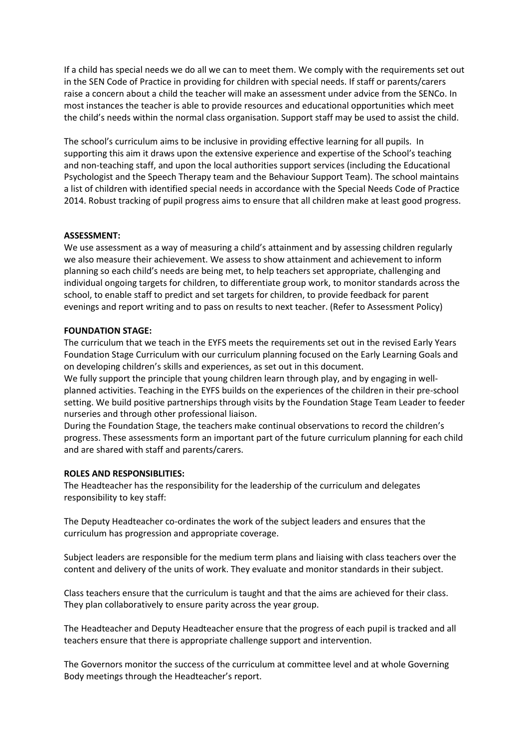If a child has special needs we do all we can to meet them. We comply with the requirements set out in the SEN Code of Practice in providing for children with special needs. If staff or parents/carers raise a concern about a child the teacher will make an assessment under advice from the SENCo. In most instances the teacher is able to provide resources and educational opportunities which meet the child's needs within the normal class organisation. Support staff may be used to assist the child.

The school's curriculum aims to be inclusive in providing effective learning for all pupils. In supporting this aim it draws upon the extensive experience and expertise of the School's teaching and non-teaching staff, and upon the local authorities support services (including the Educational Psychologist and the Speech Therapy team and the Behaviour Support Team). The school maintains a list of children with identified special needs in accordance with the Special Needs Code of Practice 2014. Robust tracking of pupil progress aims to ensure that all children make at least good progress.

## **ASSESSMENT:**

We use assessment as a way of measuring a child's attainment and by assessing children regularly we also measure their achievement. We assess to show attainment and achievement to inform planning so each child's needs are being met, to help teachers set appropriate, challenging and individual ongoing targets for children, to differentiate group work, to monitor standards across the school, to enable staff to predict and set targets for children, to provide feedback for parent evenings and report writing and to pass on results to next teacher. (Refer to Assessment Policy)

#### **FOUNDATION STAGE:**

The curriculum that we teach in the EYFS meets the requirements set out in the revised Early Years Foundation Stage Curriculum with our curriculum planning focused on the Early Learning Goals and on developing children's skills and experiences, as set out in this document.

We fully support the principle that young children learn through play, and by engaging in wellplanned activities. Teaching in the EYFS builds on the experiences of the children in their pre-school setting. We build positive partnerships through visits by the Foundation Stage Team Leader to feeder nurseries and through other professional liaison.

During the Foundation Stage, the teachers make continual observations to record the children's progress. These assessments form an important part of the future curriculum planning for each child and are shared with staff and parents/carers.

#### **ROLES AND RESPONSIBLITIES:**

The Headteacher has the responsibility for the leadership of the curriculum and delegates responsibility to key staff:

The Deputy Headteacher co-ordinates the work of the subject leaders and ensures that the curriculum has progression and appropriate coverage.

Subject leaders are responsible for the medium term plans and liaising with class teachers over the content and delivery of the units of work. They evaluate and monitor standards in their subject.

Class teachers ensure that the curriculum is taught and that the aims are achieved for their class. They plan collaboratively to ensure parity across the year group.

The Headteacher and Deputy Headteacher ensure that the progress of each pupil is tracked and all teachers ensure that there is appropriate challenge support and intervention.

The Governors monitor the success of the curriculum at committee level and at whole Governing Body meetings through the Headteacher's report.